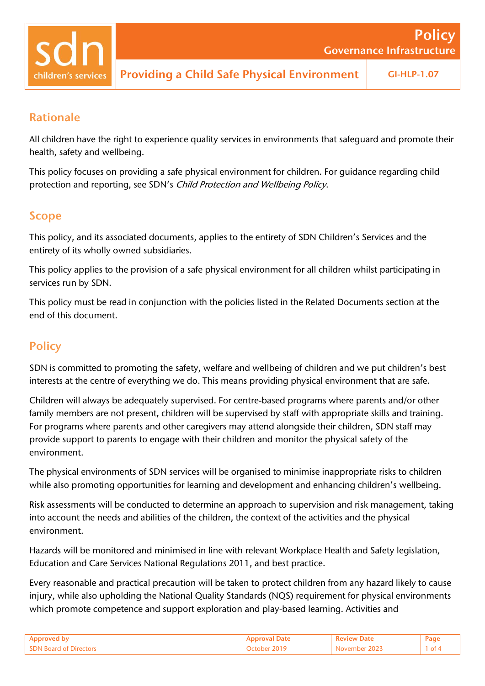children's services

### Rationale

All children have the right to experience quality services in environments that safeguard and promote their health, safety and wellbeing.

This policy focuses on providing a safe physical environment for children. For guidance regarding child protection and reporting, see SDN's Child Protection and Wellbeing Policy.

### Scope

This policy, and its associated documents, applies to the entirety of SDN Children's Services and the entirety of its wholly owned subsidiaries.

This policy applies to the provision of a safe physical environment for all children whilst participating in services run by SDN.

This policy must be read in conjunction with the policies listed in the Related Documents section at the end of this document.

## **Policy**

SDN is committed to promoting the safety, welfare and wellbeing of children and we put children's best interests at the centre of everything we do. This means providing physical environment that are safe.

Children will always be adequately supervised. For centre-based programs where parents and/or other family members are not present, children will be supervised by staff with appropriate skills and training. For programs where parents and other caregivers may attend alongside their children, SDN staff may provide support to parents to engage with their children and monitor the physical safety of the environment.

The physical environments of SDN services will be organised to minimise inappropriate risks to children while also promoting opportunities for learning and development and enhancing children's wellbeing.

Risk assessments will be conducted to determine an approach to supervision and risk management, taking into account the needs and abilities of the children, the context of the activities and the physical environment.

Hazards will be monitored and minimised in line with relevant Workplace Health and Safety legislation, Education and Care Services National Regulations 2011, and best practice.

Every reasonable and practical precaution will be taken to protect children from any hazard likely to cause injury, while also upholding the National Quality Standards (NQS) requirement for physical environments which promote competence and support exploration and play-based learning. Activities and

|                               |               | Page          |
|-------------------------------|---------------|---------------|
| <b>SDN Board of Directors</b> | November 2023 | $1$ of $\sim$ |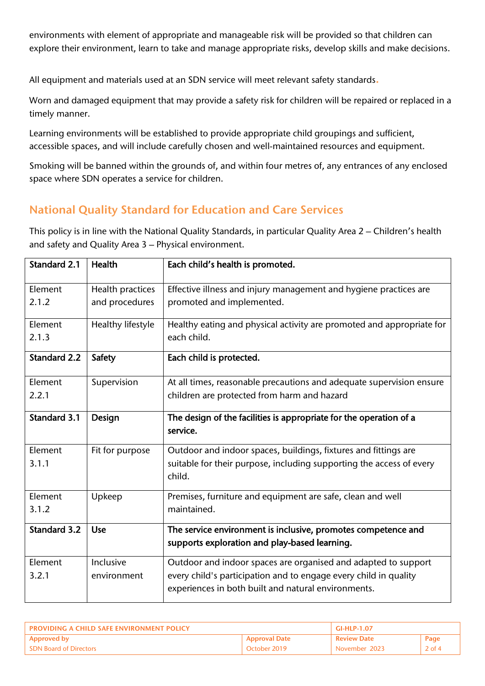environments with element of appropriate and manageable risk will be provided so that children can explore their environment, learn to take and manage appropriate risks, develop skills and make decisions.

All equipment and materials used at an SDN service will meet relevant safety standards.

Worn and damaged equipment that may provide a safety risk for children will be repaired or replaced in a timely manner.

Learning environments will be established to provide appropriate child groupings and sufficient, accessible spaces, and will include carefully chosen and well-maintained resources and equipment.

Smoking will be banned within the grounds of, and within four metres of, any entrances of any enclosed space where SDN operates a service for children.

# National Quality Standard for Education and Care Services

This policy is in line with the National Quality Standards, in particular Quality Area 2 – Children's health and safety and Quality Area 3 – Physical environment.

| <b>Standard 2.1</b> | <b>Health</b>     | Each child's health is promoted.                                               |
|---------------------|-------------------|--------------------------------------------------------------------------------|
| Element             | Health practices  | Effective illness and injury management and hygiene practices are              |
| 2.1.2               | and procedures    | promoted and implemented.                                                      |
| Element             | Healthy lifestyle | Healthy eating and physical activity are promoted and appropriate for          |
| 2.1.3               |                   | each child.                                                                    |
| <b>Standard 2.2</b> | <b>Safety</b>     | Each child is protected.                                                       |
| Element             | Supervision       | At all times, reasonable precautions and adequate supervision ensure           |
| 2.2.1               |                   | children are protected from harm and hazard                                    |
|                     |                   |                                                                                |
| <b>Standard 3.1</b> | Design            | The design of the facilities is appropriate for the operation of a             |
|                     |                   | service.                                                                       |
| Element             | Fit for purpose   | Outdoor and indoor spaces, buildings, fixtures and fittings are                |
| 3.1.1               |                   | suitable for their purpose, including supporting the access of every<br>child. |
| Element             | Upkeep            | Premises, furniture and equipment are safe, clean and well                     |
| 3.1.2               |                   | maintained.                                                                    |
| <b>Standard 3.2</b> | <b>Use</b>        | The service environment is inclusive, promotes competence and                  |
|                     |                   | supports exploration and play-based learning.                                  |
| Element             | Inclusive         | Outdoor and indoor spaces are organised and adapted to support                 |
| 3.2.1               | environment       | every child's participation and to engage every child in quality               |
|                     |                   | experiences in both built and natural environments.                            |

| <b>PROVIDING A CHILD SAFF ENVIRONMENT POLICY</b> |                      | <b>GI-HLP-1.07</b> |          |
|--------------------------------------------------|----------------------|--------------------|----------|
| <b>Approved by</b>                               | <b>Approval Date</b> | <b>Review Date</b> | Page     |
| <b>SDN Board of Directors</b>                    | October 2019         | November 2023      | $2$ of 4 |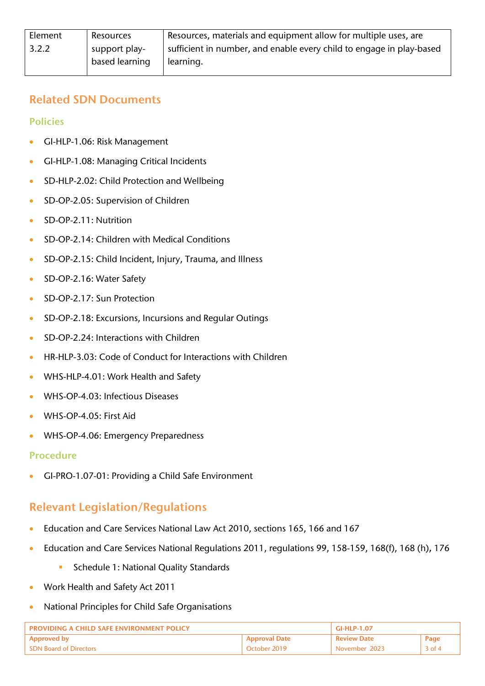### Related SDN Documents

Policies

- GI-HLP-1.06: Risk Management
- GI-HLP-1.08: Managing Critical Incidents
- SD-HLP-2.02: Child Protection and Wellbeing
- SD-OP-2.05: Supervision of Children
- SD-OP-2.11: Nutrition
- SD-OP-2.14: Children with Medical Conditions
- SD-OP-2.15: Child Incident, Injury, Trauma, and Illness
- SD-OP-2.16: Water Safety
- SD-OP-2.17: Sun Protection
- SD-OP-2.18: Excursions, Incursions and Regular Outings
- SD-OP-2.24: Interactions with Children
- HR-HLP-3.03: Code of Conduct for Interactions with Children
- WHS-HLP-4.01: Work Health and Safety
- WHS-OP-4.03: Infectious Diseases
- WHS-OP-4.05: First Aid
- WHS-OP-4.06: Emergency Preparedness

#### Procedure

• GI-PRO-1.07-01: Providing a Child Safe Environment

## Relevant Legislation/Regulations

- Education and Care Services National Law Act 2010, sections 165, 166 and 167
- Education and Care Services National Regulations 2011, regulations 99, 158-159, 168(f), 168 (h), 176
	- Schedule 1: National Quality Standards
- Work Health and Safety Act 2011
- National Principles for Child Safe Organisations

| <b>PROVIDING A CHILD SAFF ENVIRONMENT POLICY</b> |                      | GI-HI P-1.07       |          |
|--------------------------------------------------|----------------------|--------------------|----------|
| <b>Approved by</b>                               | <b>Approval Date</b> | <b>Review Date</b> | Page     |
| <b>SDN Board of Directors</b>                    | October 2019         | November 2023      | $3$ of 4 |